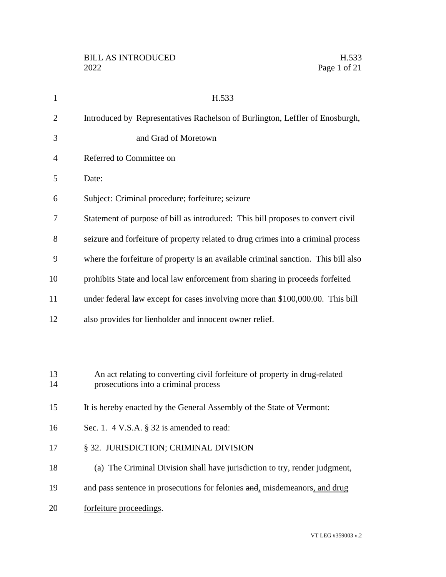| $\mathbf{1}$   | H.533                                                                                                              |
|----------------|--------------------------------------------------------------------------------------------------------------------|
| $\overline{2}$ | Introduced by Representatives Rachelson of Burlington, Leffler of Enosburgh,                                       |
| 3              | and Grad of Moretown                                                                                               |
| 4              | Referred to Committee on                                                                                           |
| 5              | Date:                                                                                                              |
| 6              | Subject: Criminal procedure; forfeiture; seizure                                                                   |
| 7              | Statement of purpose of bill as introduced: This bill proposes to convert civil                                    |
| 8              | seizure and forfeiture of property related to drug crimes into a criminal process                                  |
| 9              | where the forfeiture of property is an available criminal sanction. This bill also                                 |
| 10             | prohibits State and local law enforcement from sharing in proceeds forfeited                                       |
| 11             | under federal law except for cases involving more than \$100,000.00. This bill                                     |
| 12             | also provides for lienholder and innocent owner relief.                                                            |
|                |                                                                                                                    |
|                |                                                                                                                    |
| 13<br>14       | An act relating to converting civil forfeiture of property in drug-related<br>prosecutions into a criminal process |
| 15             | It is hereby enacted by the General Assembly of the State of Vermont:                                              |
| 16             | Sec. 1. 4 V.S.A. § 32 is amended to read:                                                                          |
| 17             | § 32. JURISDICTION; CRIMINAL DIVISION                                                                              |
| 18             | (a) The Criminal Division shall have jurisdiction to try, render judgment,                                         |
|                |                                                                                                                    |
| 19             | and pass sentence in prosecutions for felonies and, misdemeanors, and drug                                         |
| 20             | forfeiture proceedings.                                                                                            |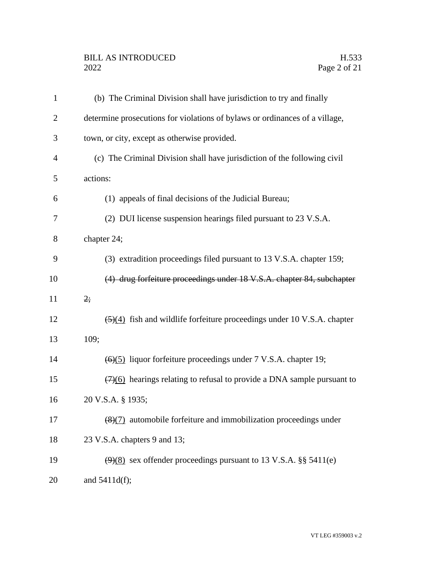# BILL AS INTRODUCED H.533<br>2022 Page 2 of 21

| 1              | (b) The Criminal Division shall have jurisdiction to try and finally                        |
|----------------|---------------------------------------------------------------------------------------------|
| $\overline{2}$ | determine prosecutions for violations of bylaws or ordinances of a village,                 |
| 3              | town, or city, except as otherwise provided.                                                |
| 4              | (c) The Criminal Division shall have jurisdiction of the following civil                    |
| 5              | actions:                                                                                    |
| 6              | (1) appeals of final decisions of the Judicial Bureau;                                      |
| 7              | (2) DUI license suspension hearings filed pursuant to 23 V.S.A.                             |
| 8              | chapter 24;                                                                                 |
| 9              | (3) extradition proceedings filed pursuant to 13 V.S.A. chapter 159;                        |
| 10             | (4) drug forfeiture proceedings under 18 V.S.A. chapter 84, subchapter                      |
| 11             | 2;                                                                                          |
| 12             | $\left(\frac{5}{4}\right)$ fish and wildlife forfeiture proceedings under 10 V.S.A. chapter |
| 13             | 109;                                                                                        |
| 14             | $\left(\frac{6}{5}\right)$ liquor forfeiture proceedings under 7 V.S.A. chapter 19;         |
| 15             | $\left(\frac{7}{6}\right)$ hearings relating to refusal to provide a DNA sample pursuant to |
| 16             | 20 V.S.A. § 1935;                                                                           |
| 17             | $\frac{1}{2}$ automobile forfeiture and immobilization proceedings under                    |
| 18             | 23 V.S.A. chapters 9 and 13;                                                                |
| 19             | $(9)(8)$ sex offender proceedings pursuant to 13 V.S.A. §§ 5411(e)                          |
| 20             | and $5411d(f)$ ;                                                                            |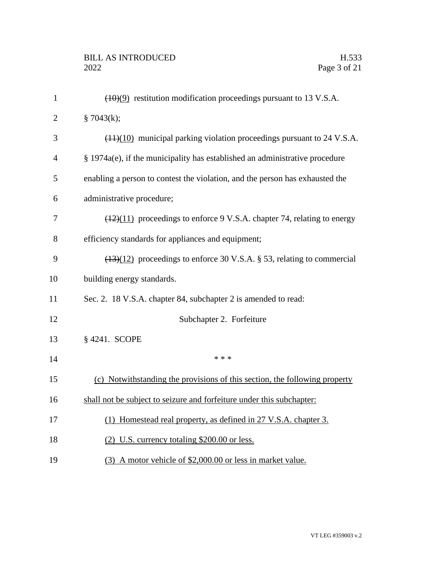| $\mathbf{1}$   | $(10)(9)$ restitution modification proceedings pursuant to 13 V.S.A.                        |
|----------------|---------------------------------------------------------------------------------------------|
| $\overline{2}$ | § 7043 $(k)$ ;                                                                              |
| 3              | $(11)(10)$ municipal parking violation proceedings pursuant to 24 V.S.A.                    |
| $\overline{4}$ | § 1974a(e), if the municipality has established an administrative procedure                 |
| 5              | enabling a person to contest the violation, and the person has exhausted the                |
| 6              | administrative procedure;                                                                   |
| 7              | $\left(\frac{12}{11}\right)$ proceedings to enforce 9 V.S.A. chapter 74, relating to energy |
| 8              | efficiency standards for appliances and equipment;                                          |
| 9              | $(13)(12)$ proceedings to enforce 30 V.S.A. § 53, relating to commercial                    |
| 10             | building energy standards.                                                                  |
| 11             | Sec. 2. 18 V.S.A. chapter 84, subchapter 2 is amended to read:                              |
| 12             | Subchapter 2. Forfeiture                                                                    |
| 13             | § 4241. SCOPE                                                                               |
| 14             | * * *                                                                                       |
| 15             | (c) Notwithstanding the provisions of this section, the following property                  |
| 16             | shall not be subject to seizure and forfeiture under this subchapter:                       |
| 17             | (1) Homestead real property, as defined in 27 V.S.A. chapter 3.                             |
| 18             | (2) U.S. currency totaling \$200.00 or less.                                                |
| 19             | (3) A motor vehicle of \$2,000.00 or less in market value.                                  |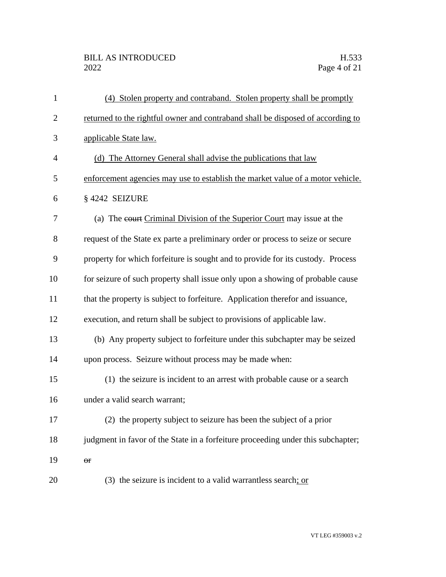## BILL AS INTRODUCED H.533<br>2022 Page 4 of 21

| $\mathbf{1}$   | (4) Stolen property and contraband. Stolen property shall be promptly            |
|----------------|----------------------------------------------------------------------------------|
| $\overline{2}$ | returned to the rightful owner and contraband shall be disposed of according to  |
| 3              | applicable State law.                                                            |
| $\overline{4}$ | (d) The Attorney General shall advise the publications that law                  |
| 5              | enforcement agencies may use to establish the market value of a motor vehicle.   |
| 6              | §4242 SEIZURE                                                                    |
| 7              | (a) The court Criminal Division of the Superior Court may issue at the           |
| 8              | request of the State ex parte a preliminary order or process to seize or secure  |
| 9              | property for which forfeiture is sought and to provide for its custody. Process  |
| 10             | for seizure of such property shall issue only upon a showing of probable cause   |
| 11             | that the property is subject to forfeiture. Application therefor and issuance,   |
| 12             | execution, and return shall be subject to provisions of applicable law.          |
| 13             | (b) Any property subject to forfeiture under this subchapter may be seized       |
| 14             | upon process. Seizure without process may be made when:                          |
| 15             | (1) the seizure is incident to an arrest with probable cause or a search         |
| 16             | under a valid search warrant;                                                    |
| 17             | (2) the property subject to seizure has been the subject of a prior              |
| 18             | judgment in favor of the State in a forfeiture proceeding under this subchapter; |
| 19             | $\Theta$ <b>r</b>                                                                |
| 20             | $(3)$ the seizure is incident to a valid warrantless search; or                  |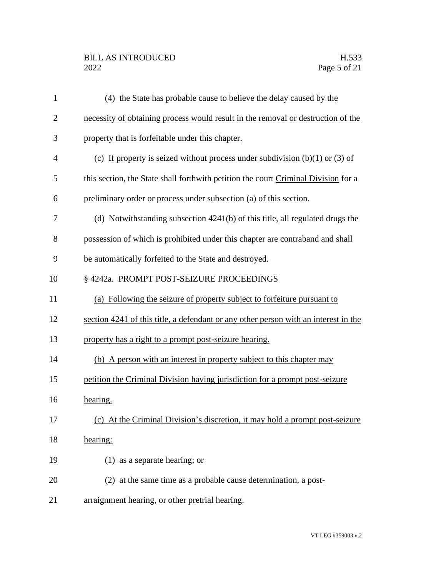## BILL AS INTRODUCED H.533<br>2022 Page 5 of 21

| $\mathbf{1}$   | (4) the State has probable cause to believe the delay caused by the                 |
|----------------|-------------------------------------------------------------------------------------|
| $\overline{2}$ | necessity of obtaining process would result in the removal or destruction of the    |
| 3              | property that is forfeitable under this chapter.                                    |
| 4              | (c) If property is seized without process under subdivision $(b)(1)$ or $(3)$ of    |
| 5              | this section, the State shall forthwith petition the eourt Criminal Division for a  |
| 6              | preliminary order or process under subsection (a) of this section.                  |
| 7              | (d) Notwithstanding subsection 4241(b) of this title, all regulated drugs the       |
| 8              | possession of which is prohibited under this chapter are contraband and shall       |
| 9              | be automatically forfeited to the State and destroyed.                              |
| 10             | § 4242a. PROMPT POST-SEIZURE PROCEEDINGS                                            |
| 11             | (a) Following the seizure of property subject to forfeiture pursuant to             |
| 12             | section 4241 of this title, a defendant or any other person with an interest in the |
| 13             | property has a right to a prompt post-seizure hearing.                              |
| 14             | (b) A person with an interest in property subject to this chapter may               |
| 15             | petition the Criminal Division having jurisdiction for a prompt post-seizure        |
| 16             | hearing.                                                                            |
| 17             | (c) At the Criminal Division's discretion, it may hold a prompt post-seizure        |
| 18             | hearing:                                                                            |
| 19             | $(1)$ as a separate hearing; or                                                     |
| 20             | (2) at the same time as a probable cause determination, a post-                     |
| 21             | arraignment hearing, or other pretrial hearing.                                     |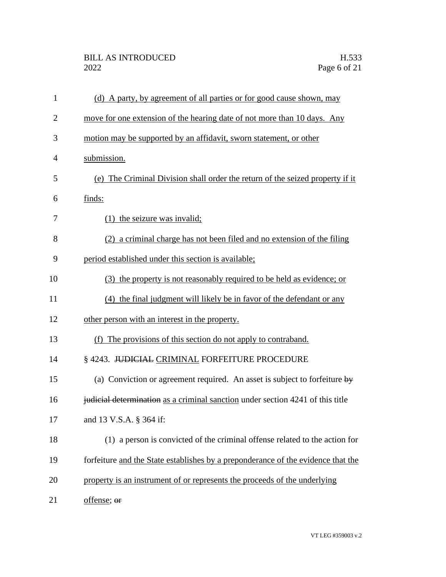| $\mathbf{1}$   | (d) A party, by agreement of all parties or for good cause shown, may                   |
|----------------|-----------------------------------------------------------------------------------------|
| $\overline{2}$ | move for one extension of the hearing date of not more than 10 days. Any                |
| 3              | motion may be supported by an affidavit, sworn statement, or other                      |
| 4              | submission.                                                                             |
| 5              | (e) The Criminal Division shall order the return of the seized property if it           |
| 6              | finds:                                                                                  |
| 7              | $(1)$ the seizure was invalid;                                                          |
| 8              | (2) a criminal charge has not been filed and no extension of the filing                 |
| 9              | period established under this section is available;                                     |
| 10             | (3) the property is not reasonably required to be held as evidence; or                  |
| 11             | (4) the final judgment will likely be in favor of the defendant or any                  |
| 12             | other person with an interest in the property.                                          |
| 13             | (f) The provisions of this section do not apply to contraband.                          |
| 14             | §4243. JUDICIAL CRIMINAL FORFEITURE PROCEDURE                                           |
| 15             | (a) Conviction or agreement required. An asset is subject to forfeiture $\frac{dy}{dx}$ |
| 16             | judicial determination as a criminal sanction under section 4241 of this title          |
| 17             | and 13 V.S.A. § 364 if:                                                                 |
| 18             | (1) a person is convicted of the criminal offense related to the action for             |
| 19             | forfeiture and the State establishes by a preponderance of the evidence that the        |
| 20             | property is an instrument of or represents the proceeds of the underlying               |
| 21             | offense; or                                                                             |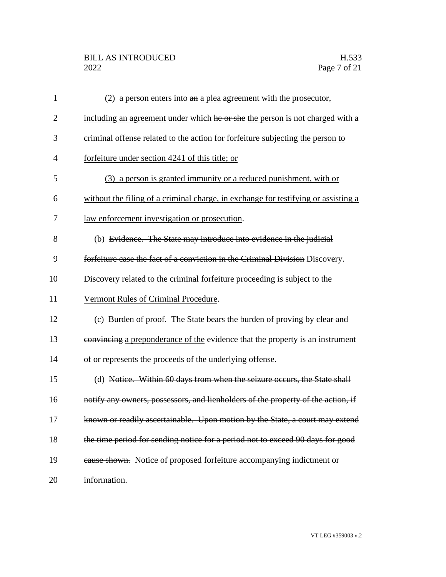## BILL AS INTRODUCED H.533<br>2022 Page 7 of 21

| $\mathbf{1}$   | (2) a person enters into $a_n$ a plea agreement with the prosecutor,               |
|----------------|------------------------------------------------------------------------------------|
| $\overline{2}$ | including an agreement under which he or she the person is not charged with a      |
| 3              | criminal offense related to the action for forfeiture subjecting the person to     |
| $\overline{4}$ | forfeiture under section 4241 of this title; or                                    |
| 5              | (3) a person is granted immunity or a reduced punishment, with or                  |
| 6              | without the filing of a criminal charge, in exchange for testifying or assisting a |
| 7              | law enforcement investigation or prosecution.                                      |
| 8              | (b) Evidence. The State may introduce into evidence in the judicial                |
| 9              | forfeiture case the fact of a conviction in the Criminal Division Discovery.       |
| 10             | Discovery related to the criminal forfeiture proceeding is subject to the          |
| 11             | Vermont Rules of Criminal Procedure.                                               |
| 12             | (c) Burden of proof. The State bears the burden of proving by elear and            |
| 13             | convincing a preponderance of the evidence that the property is an instrument      |
| 14             | of or represents the proceeds of the underlying offense.                           |
| 15             | (d) Notice. Within 60 days from when the seizure occurs, the State shall           |
| 16             | notify any owners, possessors, and lienholders of the property of the action, if   |
| 17             | known or readily ascertainable. Upon motion by the State, a court may extend       |
| 18             | the time period for sending notice for a period not to exceed 90 days for good     |
| 19             | cause shown. Notice of proposed forfeiture accompanying indictment or              |
| 20             | information.                                                                       |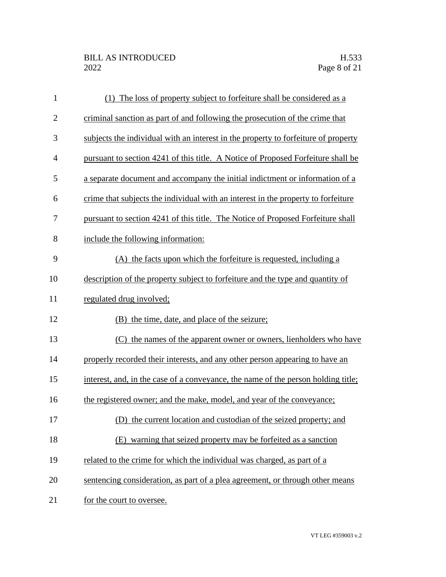| $\mathbf{1}$   | (1) The loss of property subject to forfeiture shall be considered as a            |
|----------------|------------------------------------------------------------------------------------|
| $\overline{c}$ | criminal sanction as part of and following the prosecution of the crime that       |
| 3              | subjects the individual with an interest in the property to forfeiture of property |
| $\overline{4}$ | pursuant to section 4241 of this title. A Notice of Proposed Forfeiture shall be   |
| 5              | a separate document and accompany the initial indictment or information of a       |
| 6              | crime that subjects the individual with an interest in the property to forfeiture  |
| 7              | pursuant to section 4241 of this title. The Notice of Proposed Forfeiture shall    |
| 8              | include the following information:                                                 |
| 9              | (A) the facts upon which the forfeiture is requested, including a                  |
| 10             | description of the property subject to forfeiture and the type and quantity of     |
| 11             | regulated drug involved;                                                           |
| 12             | (B) the time, date, and place of the seizure;                                      |
| 13             | (C) the names of the apparent owner or owners, lienholders who have                |
| 14             | properly recorded their interests, and any other person appearing to have an       |
| 15             | interest, and, in the case of a conveyance, the name of the person holding title;  |
| 16             | the registered owner; and the make, model, and year of the conveyance;             |
| 17             | (D) the current location and custodian of the seized property; and                 |
| 18             | (E) warning that seized property may be forfeited as a sanction                    |
| 19             | related to the crime for which the individual was charged, as part of a            |
| 20             | sentencing consideration, as part of a plea agreement, or through other means      |
| 21             | for the court to oversee.                                                          |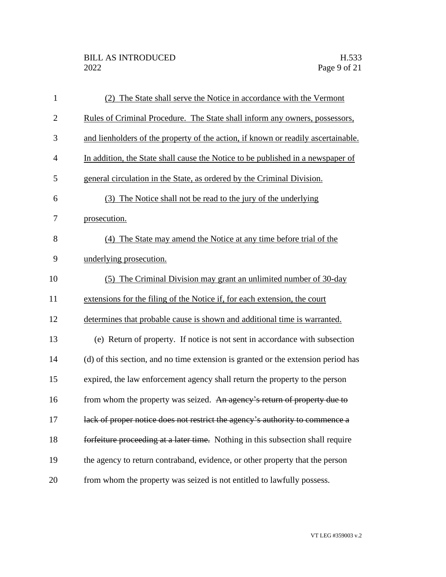| $\mathbf{1}$   | (2) The State shall serve the Notice in accordance with the Vermont               |
|----------------|-----------------------------------------------------------------------------------|
| $\overline{2}$ | Rules of Criminal Procedure. The State shall inform any owners, possessors,       |
| 3              | and lienholders of the property of the action, if known or readily ascertainable. |
| $\overline{4}$ | In addition, the State shall cause the Notice to be published in a newspaper of   |
| 5              | general circulation in the State, as ordered by the Criminal Division.            |
| 6              | (3) The Notice shall not be read to the jury of the underlying                    |
| 7              | prosecution.                                                                      |
| 8              | (4) The State may amend the Notice at any time before trial of the                |
| 9              | underlying prosecution.                                                           |
| 10             | (5) The Criminal Division may grant an unlimited number of 30-day                 |
| 11             | extensions for the filing of the Notice if, for each extension, the court         |
| 12             | determines that probable cause is shown and additional time is warranted.         |
| 13             | (e) Return of property. If notice is not sent in accordance with subsection       |
| 14             | (d) of this section, and no time extension is granted or the extension period has |
| 15             | expired, the law enforcement agency shall return the property to the person       |
| 16             | from whom the property was seized. An agency's return of property due to          |
| 17             | lack of proper notice does not restrict the agency's authority to commence a      |
| 18             | forfeiture proceeding at a later time. Nothing in this subsection shall require   |
| 19             | the agency to return contraband, evidence, or other property that the person      |
| 20             | from whom the property was seized is not entitled to lawfully possess.            |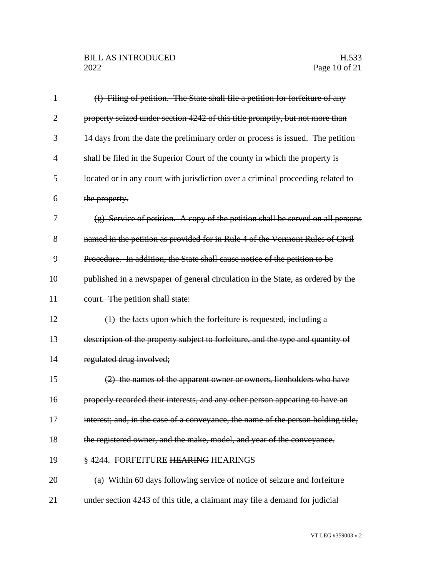| 1              | (f) Filing of petition. The State shall file a petition for forfeiture of any     |
|----------------|-----------------------------------------------------------------------------------|
| $\overline{2}$ | property seized under section 4242 of this title promptly, but not more than      |
| 3              | 14 days from the date the preliminary order or process is issued. The petition    |
| $\overline{4}$ | shall be filed in the Superior Court of the county in which the property is       |
| 5              | located or in any court with jurisdiction over a criminal proceeding related to   |
| 6              | the property.                                                                     |
| 7              | (g) Service of petition. A copy of the petition shall be served on all persons    |
| 8              | named in the petition as provided for in Rule 4 of the Vermont Rules of Civil     |
| 9              | Procedure. In addition, the State shall cause notice of the petition to be        |
| 10             | published in a newspaper of general circulation in the State, as ordered by the   |
| 11             | court. The petition shall state:                                                  |
| 12             | $(1)$ the facts upon which the forfeiture is requested, including a               |
| 13             | description of the property subject to forfeiture, and the type and quantity of   |
| 14             | regulated drug involved;                                                          |
| 15             | (2) the names of the apparent owner or owners, lienholders who have               |
| 16             | properly recorded their interests, and any other person appearing to have an      |
| 17             | interest; and, in the case of a conveyance, the name of the person holding title, |
| 18             | the registered owner, and the make, model, and year of the conveyance.            |
| 19             | §4244. FORFEITURE HEARING HEARINGS                                                |
| 20             | (a) Within 60 days following service of notice of seizure and forfeiture          |
| 21             | under section 4243 of this title, a claimant may file a demand for judicial       |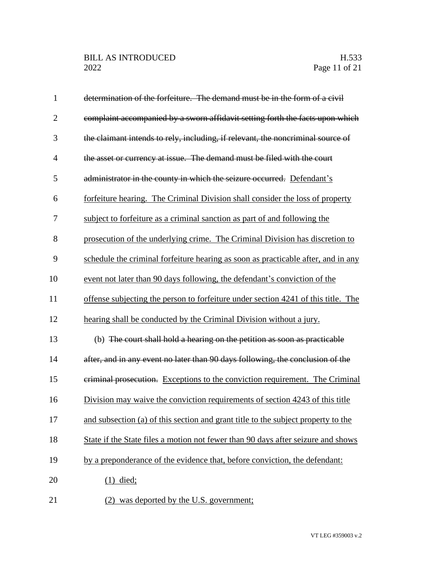| $\mathbf{1}$   | determination of the forfeiture. The demand must be in the form of a civil        |
|----------------|-----------------------------------------------------------------------------------|
| $\overline{2}$ | complaint accompanied by a sworn affidavit setting forth the facts upon which     |
| 3              | the claimant intends to rely, including, if relevant, the noncriminal source of   |
| $\overline{4}$ | the asset or currency at issue. The demand must be filed with the court           |
| 5              | administrator in the county in which the seizure occurred. Defendant's            |
| 6              | forfeiture hearing. The Criminal Division shall consider the loss of property     |
| 7              | subject to forfeiture as a criminal sanction as part of and following the         |
| 8              | prosecution of the underlying crime. The Criminal Division has discretion to      |
| 9              | schedule the criminal forfeiture hearing as soon as practicable after, and in any |
| 10             | event not later than 90 days following, the defendant's conviction of the         |
| 11             | offense subjecting the person to forfeiture under section 4241 of this title. The |
| 12             | hearing shall be conducted by the Criminal Division without a jury.               |
| 13             | (b) The court shall hold a hearing on the petition as soon as practicable         |
| 14             | after, and in any event no later than 90 days following, the conclusion of the    |
| 15             | eriminal prosecution. Exceptions to the conviction requirement. The Criminal      |
| 16             | Division may waive the conviction requirements of section 4243 of this title      |
| 17             | and subsection (a) of this section and grant title to the subject property to the |
| 18             | State if the State files a motion not fewer than 90 days after seizure and shows  |
| 19             | by a preponderance of the evidence that, before conviction, the defendant:        |
| 20             | $(1)$ died;                                                                       |
| 21             | was deported by the U.S. government;<br>(2)                                       |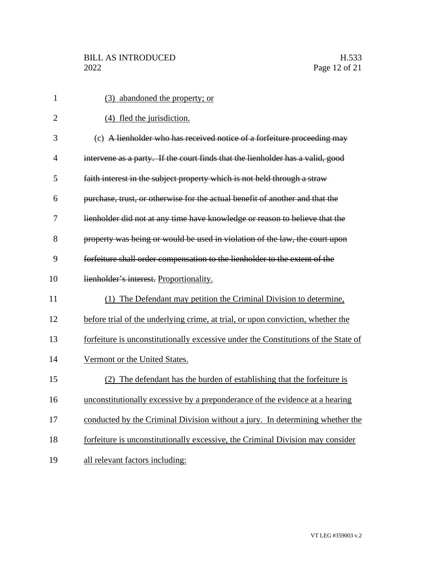| $\mathbf{1}$   | (3) abandoned the property; or                                                     |
|----------------|------------------------------------------------------------------------------------|
| $\overline{2}$ | (4) fled the jurisdiction.                                                         |
| 3              | (c) A lienholder who has received notice of a forfeiture proceeding may            |
| $\overline{4}$ | intervene as a party. If the court finds that the lienholder has a valid, good     |
| 5              | faith interest in the subject property which is not held through a straw           |
| 6              | purchase, trust, or otherwise for the actual benefit of another and that the       |
| 7              | lienholder did not at any time have knowledge or reason to believe that the        |
| 8              | property was being or would be used in violation of the law, the court upon        |
| 9              | forfeiture shall order compensation to the lienholder to the extent of the         |
| 10             | lienholder's interest. Proportionality.                                            |
| 11             | (1) The Defendant may petition the Criminal Division to determine,                 |
| 12             | before trial of the underlying crime, at trial, or upon conviction, whether the    |
| 13             | forfeiture is unconstitutionally excessive under the Constitutions of the State of |
| 14             | Vermont or the United States.                                                      |
| 15             | (2) The defendant has the burden of establishing that the forfeiture is            |
| 16             | unconstitutionally excessive by a preponderance of the evidence at a hearing       |
| 17             | conducted by the Criminal Division without a jury. In determining whether the      |
| 18             | forfeiture is unconstitutionally excessive, the Criminal Division may consider     |
| 19             | all relevant factors including:                                                    |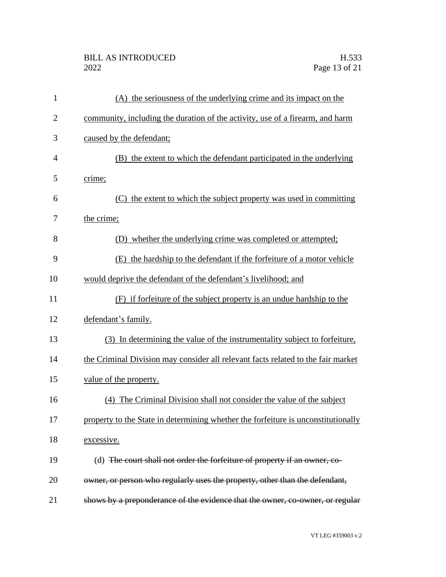## BILL AS INTRODUCED H.533<br>2022 Page 13 of 21

| $\mathbf{1}$   | (A) the seriousness of the underlying crime and its impact on the                 |
|----------------|-----------------------------------------------------------------------------------|
| $\overline{2}$ | community, including the duration of the activity, use of a firearm, and harm     |
| 3              | caused by the defendant;                                                          |
| $\overline{4}$ | (B) the extent to which the defendant participated in the underlying              |
| 5              | crime;                                                                            |
| 6              | (C) the extent to which the subject property was used in committing               |
| 7              | the crime;                                                                        |
| 8              | (D) whether the underlying crime was completed or attempted;                      |
| 9              | (E) the hardship to the defendant if the forfeiture of a motor vehicle            |
| 10             | would deprive the defendant of the defendant's livelihood; and                    |
| 11             | (F) if forfeiture of the subject property is an undue hardship to the             |
| 12             | defendant's family.                                                               |
| 13             | (3) In determining the value of the instrumentality subject to forfeiture,        |
| 14             | the Criminal Division may consider all relevant facts related to the fair market  |
| 15             | value of the property.                                                            |
| 16             | (4) The Criminal Division shall not consider the value of the subject             |
| 17             | property to the State in determining whether the forfeiture is unconstitutionally |
| 18             | excessive.                                                                        |
| 19             | (d) The court shall not order the forfeiture of property if an owner, co-         |
| 20             | owner, or person who regularly uses the property, other than the defendant,       |
| 21             | shows by a preponderance of the evidence that the owner, co-owner, or regular     |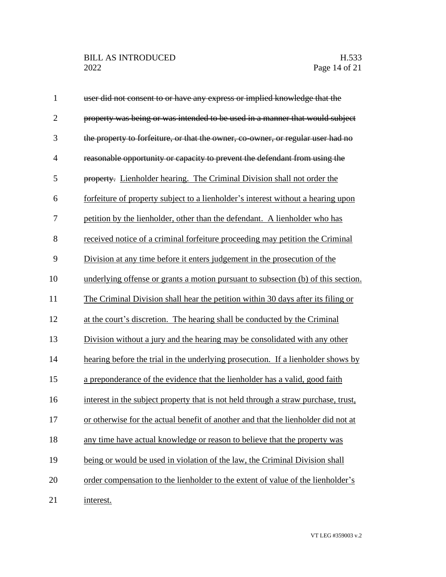| $\mathbf{1}$   | user did not consent to or have any express or implied knowledge that the          |
|----------------|------------------------------------------------------------------------------------|
| $\overline{2}$ | property was being or was intended to be used in a manner that would subject       |
| 3              | the property to forfeiture, or that the owner, co-owner, or regular user had no    |
| $\overline{4}$ | reasonable opportunity or capacity to prevent the defendant from using the         |
| 5              | property. Lienholder hearing. The Criminal Division shall not order the            |
| 6              | forfeiture of property subject to a lienholder's interest without a hearing upon   |
| 7              | petition by the lienholder, other than the defendant. A lienholder who has         |
| 8              | received notice of a criminal forfeiture proceeding may petition the Criminal      |
| 9              | Division at any time before it enters judgement in the prosecution of the          |
| 10             | underlying offense or grants a motion pursuant to subsection (b) of this section.  |
| 11             | The Criminal Division shall hear the petition within 30 days after its filing or   |
| 12             | at the court's discretion. The hearing shall be conducted by the Criminal          |
| 13             | Division without a jury and the hearing may be consolidated with any other         |
| 14             | hearing before the trial in the underlying prosecution. If a lienholder shows by   |
| 15             | a preponderance of the evidence that the lienholder has a valid, good faith        |
| 16             | interest in the subject property that is not held through a straw purchase, trust, |
| 17             | or otherwise for the actual benefit of another and that the lienholder did not at  |
| 18             | any time have actual knowledge or reason to believe that the property was          |
| 19             | being or would be used in violation of the law, the Criminal Division shall        |
| 20             | order compensation to the lienholder to the extent of value of the lienholder's    |
| 21             | interest.                                                                          |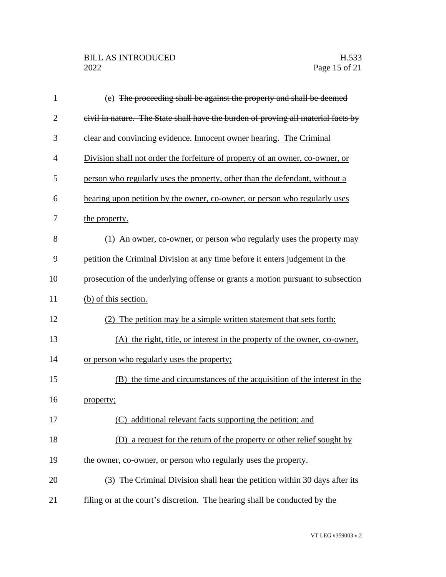| $\mathbf{1}$   | (e) The proceeding shall be against the property and shall be deemed              |
|----------------|-----------------------------------------------------------------------------------|
| $\overline{2}$ | civil in nature. The State shall have the burden of proving all material facts by |
| 3              | elear and convincing evidence. Innocent owner hearing. The Criminal               |
| $\overline{4}$ | Division shall not order the forfeiture of property of an owner, co-owner, or     |
| 5              | person who regularly uses the property, other than the defendant, without a       |
| 6              | hearing upon petition by the owner, co-owner, or person who regularly uses        |
| 7              | the property.                                                                     |
| 8              | (1) An owner, co-owner, or person who regularly uses the property may             |
| 9              | petition the Criminal Division at any time before it enters judgement in the      |
| 10             | prosecution of the underlying offense or grants a motion pursuant to subsection   |
| 11             | (b) of this section.                                                              |
| 12             | (2) The petition may be a simple written statement that sets forth:               |
| 13             | (A) the right, title, or interest in the property of the owner, co-owner,         |
| 14             | or person who regularly uses the property;                                        |
| 15             | (B) the time and circumstances of the acquisition of the interest in the          |
| 16             | property;                                                                         |
| 17             | (C) additional relevant facts supporting the petition; and                        |
| 18             | (D) a request for the return of the property or other relief sought by            |
| 19             | the owner, co-owner, or person who regularly uses the property.                   |
| 20             | (3) The Criminal Division shall hear the petition within 30 days after its        |
| 21             | filing or at the court's discretion. The hearing shall be conducted by the        |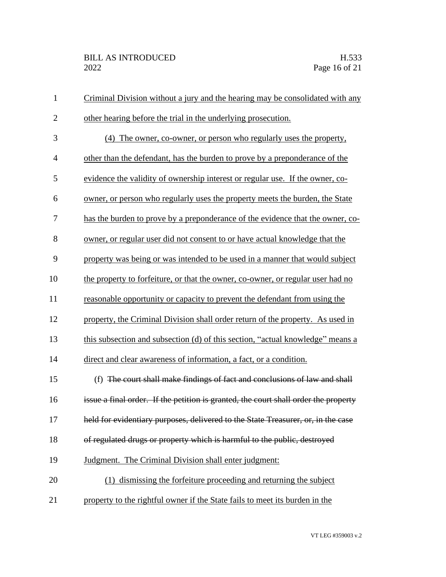| $\mathbf{1}$   | Criminal Division without a jury and the hearing may be consolidated with any       |
|----------------|-------------------------------------------------------------------------------------|
| $\overline{c}$ | other hearing before the trial in the underlying prosecution.                       |
| 3              | (4) The owner, co-owner, or person who regularly uses the property,                 |
| $\overline{4}$ | other than the defendant, has the burden to prove by a preponderance of the         |
| 5              | evidence the validity of ownership interest or regular use. If the owner, co-       |
| 6              | owner, or person who regularly uses the property meets the burden, the State        |
| 7              | has the burden to prove by a preponderance of the evidence that the owner, co-      |
| 8              | owner, or regular user did not consent to or have actual knowledge that the         |
| 9              | property was being or was intended to be used in a manner that would subject        |
| 10             | the property to forfeiture, or that the owner, co-owner, or regular user had no     |
| 11             | reasonable opportunity or capacity to prevent the defendant from using the          |
| 12             | property, the Criminal Division shall order return of the property. As used in      |
| 13             | this subsection and subsection (d) of this section, "actual knowledge" means a      |
| 14             | direct and clear awareness of information, a fact, or a condition.                  |
| 15             | (f) The court shall make findings of fact and conclusions of law and shall          |
| 16             | issue a final order. If the petition is granted, the court shall order the property |
| 17             | held for evidentiary purposes, delivered to the State Treasurer, or, in the case    |
| 18             | of regulated drugs or property which is harmful to the public, destroyed            |
| 19             | Judgment. The Criminal Division shall enter judgment:                               |
| 20             | (1) dismissing the forfeiture proceeding and returning the subject                  |
| 21             | property to the rightful owner if the State fails to meet its burden in the         |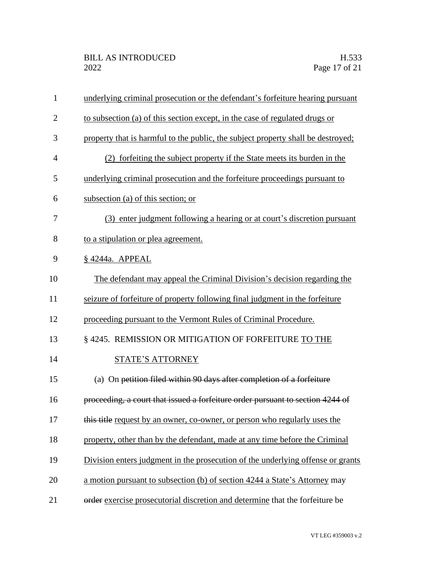| $\mathbf{1}$   | underlying criminal prosecution or the defendant's forfeiture hearing pursuant   |
|----------------|----------------------------------------------------------------------------------|
| $\overline{2}$ | to subsection (a) of this section except, in the case of regulated drugs or      |
| 3              | property that is harmful to the public, the subject property shall be destroyed; |
| 4              | (2) forfeiting the subject property if the State meets its burden in the         |
| 5              | underlying criminal prosecution and the forfeiture proceedings pursuant to       |
| 6              | subsection (a) of this section; or                                               |
| 7              | (3) enter judgment following a hearing or at court's discretion pursuant         |
| 8              | to a stipulation or plea agreement.                                              |
| 9              | §4244a. APPEAL                                                                   |
| 10             | The defendant may appeal the Criminal Division's decision regarding the          |
| 11             | seizure of forfeiture of property following final judgment in the forfeiture     |
| 12             | proceeding pursuant to the Vermont Rules of Criminal Procedure.                  |
| 13             | § 4245. REMISSION OR MITIGATION OF FORFEITURE TO THE                             |
| 14             | <b>STATE'S ATTORNEY</b>                                                          |
| 15             | (a) On petition filed within 90 days after completion of a forfeiture            |
| 16             | proceeding, a court that issued a forfeiture order pursuant to section 4244 of   |
| 17             | this title request by an owner, co-owner, or person who regularly uses the       |
| 18             | property, other than by the defendant, made at any time before the Criminal      |
| 19             | Division enters judgment in the prosecution of the underlying offense or grants  |
| 20             | a motion pursuant to subsection (b) of section 4244 a State's Attorney may       |
| 21             | order exercise prosecutorial discretion and determine that the forfeiture be     |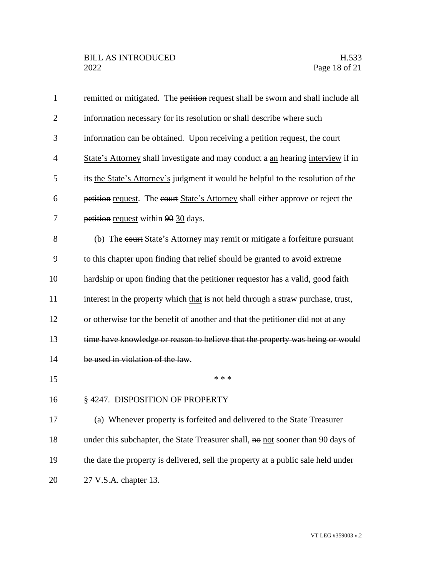| $\mathbf{1}$   | remitted or mitigated. The petition request shall be sworn and shall include all  |
|----------------|-----------------------------------------------------------------------------------|
| $\overline{2}$ | information necessary for its resolution or shall describe where such             |
| 3              | information can be obtained. Upon receiving a petition request, the court         |
| $\overline{4}$ | State's Attorney shall investigate and may conduct a an hearing interview if in   |
| 5              | its the State's Attorney's judgment it would be helpful to the resolution of the  |
| 6              | petition request. The court State's Attorney shall either approve or reject the   |
| 7              | petition request within 90 30 days.                                               |
| 8              | (b) The court State's Attorney may remit or mitigate a forfeiture pursuant        |
| 9              | to this chapter upon finding that relief should be granted to avoid extreme       |
| 10             | hardship or upon finding that the petitioner requestor has a valid, good faith    |
| 11             | interest in the property which that is not held through a straw purchase, trust,  |
| 12             | or otherwise for the benefit of another and that the petitioner did not at any    |
| 13             | time have knowledge or reason to believe that the property was being or would     |
| 14             | be used in violation of the law.                                                  |
| 15             | * * *                                                                             |
| 16             | § 4247. DISPOSITION OF PROPERTY                                                   |
| 17             | (a) Whenever property is forfeited and delivered to the State Treasurer           |
| 18             | under this subchapter, the State Treasurer shall, no not sooner than 90 days of   |
| 19             | the date the property is delivered, sell the property at a public sale held under |
| 20             | 27 V.S.A. chapter 13.                                                             |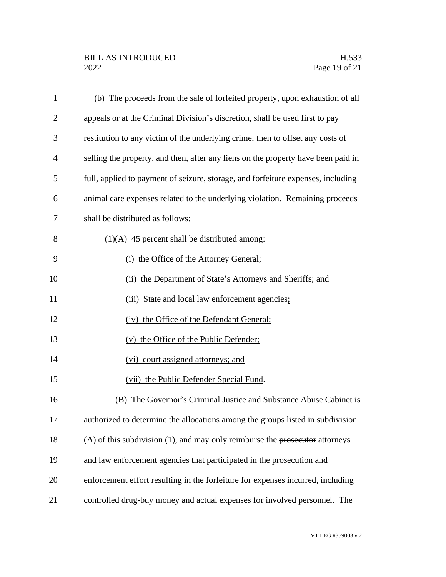| $\mathbf{1}$   | (b) The proceeds from the sale of forfeited property, upon exhaustion of all      |
|----------------|-----------------------------------------------------------------------------------|
| $\overline{2}$ | appeals or at the Criminal Division's discretion, shall be used first to pay      |
| 3              | restitution to any victim of the underlying crime, then to offset any costs of    |
| 4              | selling the property, and then, after any liens on the property have been paid in |
| 5              | full, applied to payment of seizure, storage, and forfeiture expenses, including  |
| 6              | animal care expenses related to the underlying violation. Remaining proceeds      |
| 7              | shall be distributed as follows:                                                  |
| 8              | $(1)(A)$ 45 percent shall be distributed among:                                   |
| 9              | (i) the Office of the Attorney General;                                           |
| 10             | (ii) the Department of State's Attorneys and Sheriffs; and                        |
| 11             | (iii) State and local law enforcement agencies:                                   |
| 12             | (iv) the Office of the Defendant General;                                         |
| 13             | (v) the Office of the Public Defender;                                            |
| 14             | (vi) court assigned attorneys; and                                                |
| 15             | (vii) the Public Defender Special Fund.                                           |
| 16             | (B) The Governor's Criminal Justice and Substance Abuse Cabinet is                |
| 17             | authorized to determine the allocations among the groups listed in subdivision    |
| 18             | $(A)$ of this subdivision (1), and may only reimburse the prosecutor attorneys    |
| 19             | and law enforcement agencies that participated in the prosecution and             |
| 20             | enforcement effort resulting in the forfeiture for expenses incurred, including   |
| 21             | controlled drug-buy money and actual expenses for involved personnel. The         |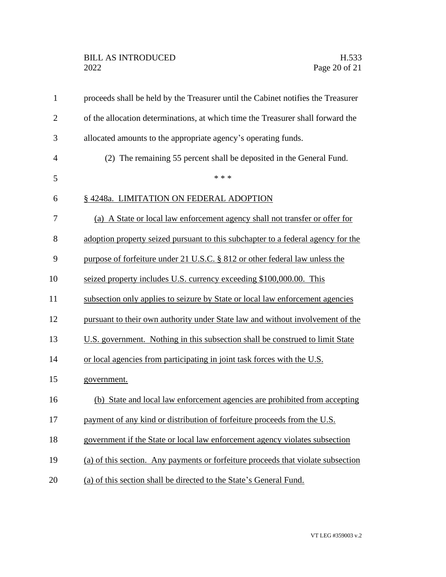| $\mathbf{1}$   | proceeds shall be held by the Treasurer until the Cabinet notifies the Treasurer |
|----------------|----------------------------------------------------------------------------------|
| $\overline{2}$ | of the allocation determinations, at which time the Treasurer shall forward the  |
| 3              | allocated amounts to the appropriate agency's operating funds.                   |
| $\overline{4}$ | (2) The remaining 55 percent shall be deposited in the General Fund.             |
| 5              | * * *                                                                            |
| 6              | § 4248a. LIMITATION ON FEDERAL ADOPTION                                          |
| 7              | (a) A State or local law enforcement agency shall not transfer or offer for      |
| 8              | adoption property seized pursuant to this subchapter to a federal agency for the |
| 9              | purpose of forfeiture under 21 U.S.C. § 812 or other federal law unless the      |
| 10             | seized property includes U.S. currency exceeding \$100,000.00. This              |
| 11             | subsection only applies to seizure by State or local law enforcement agencies    |
| 12             | pursuant to their own authority under State law and without involvement of the   |
| 13             | U.S. government. Nothing in this subsection shall be construed to limit State    |
| 14             | or local agencies from participating in joint task forces with the U.S.          |
| 15             | government.                                                                      |
| 16             | (b) State and local law enforcement agencies are prohibited from accepting       |
| 17             | payment of any kind or distribution of forfeiture proceeds from the U.S.         |
| 18             | government if the State or local law enforcement agency violates subsection      |
| 19             | (a) of this section. Any payments or forfeiture proceeds that violate subsection |
| 20             | (a) of this section shall be directed to the State's General Fund.               |